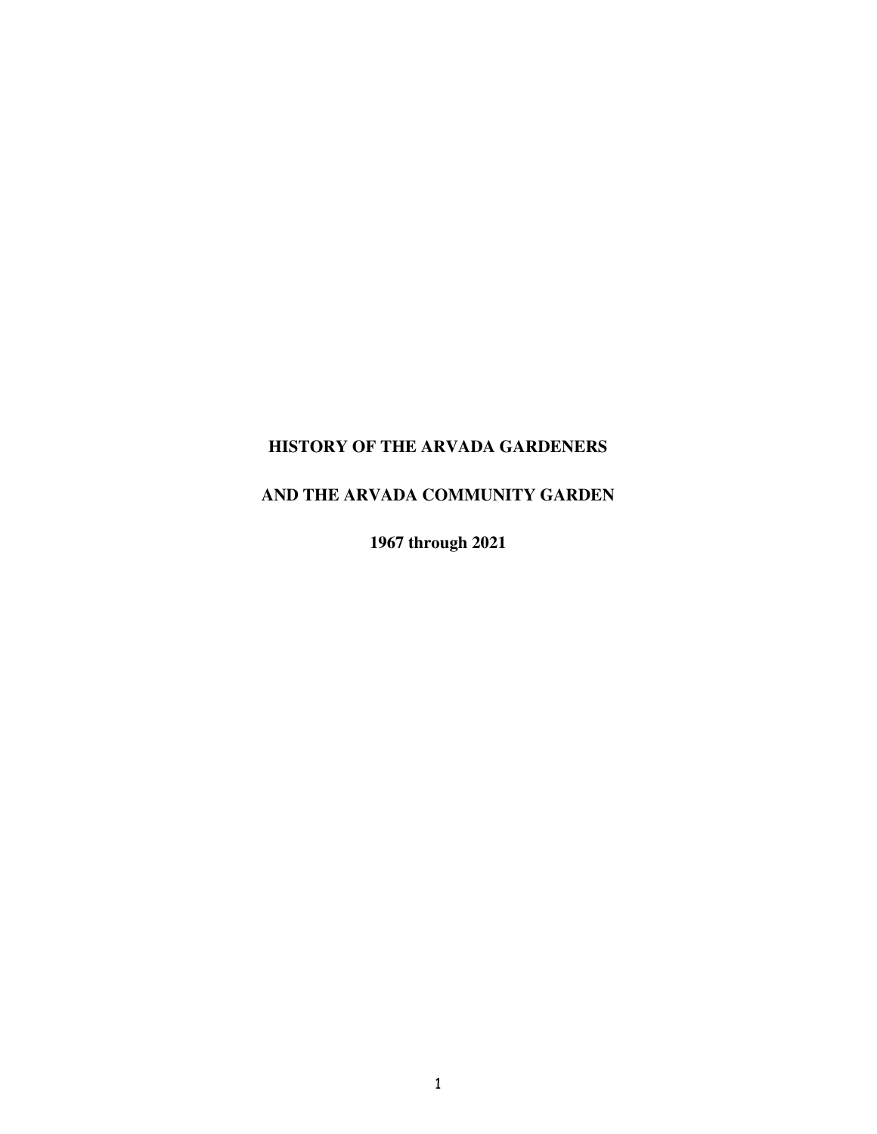## **HISTORY OF THE ARVADA GARDENERS**

## **AND THE ARVADA COMMUNITY GARDEN**

**1967 through 2021**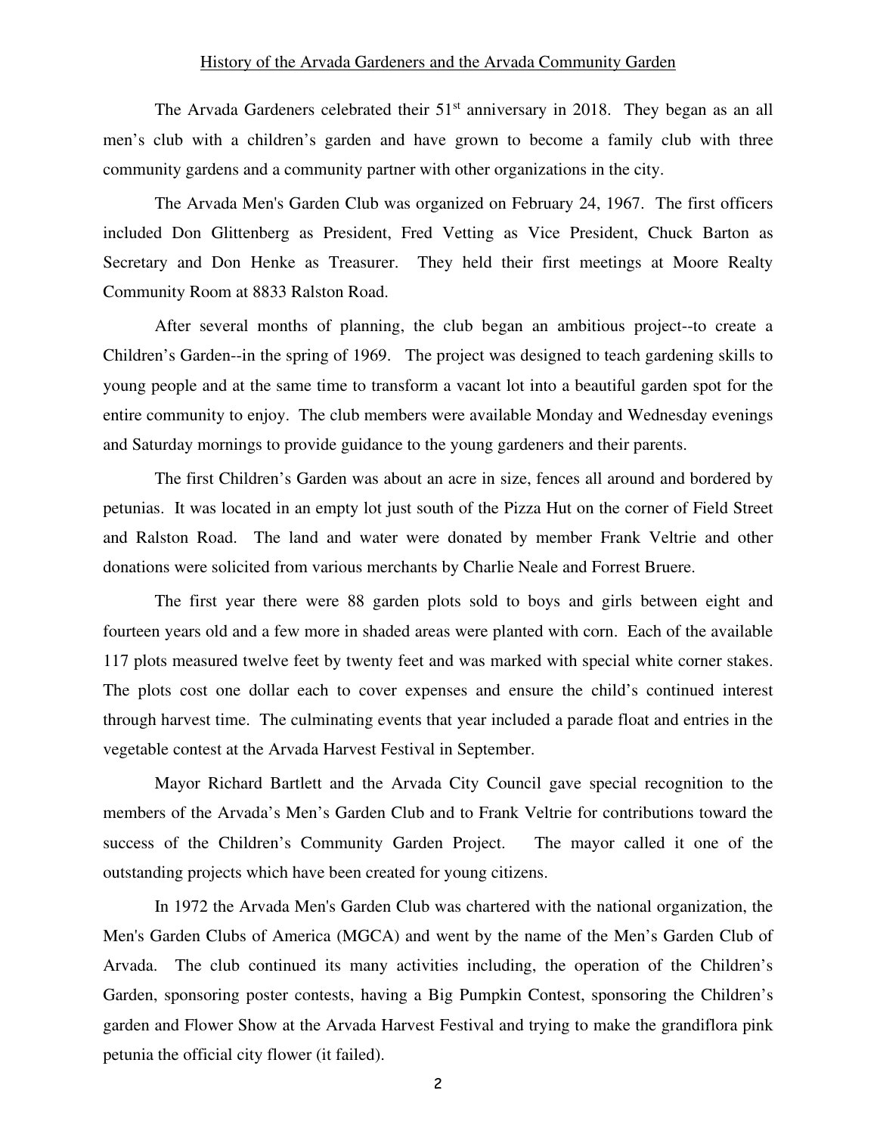## History of the Arvada Gardeners and the Arvada Community Garden

The Arvada Gardeners celebrated their 51<sup>st</sup> anniversary in 2018. They began as an all men's club with a children's garden and have grown to become a family club with three community gardens and a community partner with other organizations in the city.

The Arvada Men's Garden Club was organized on February 24, 1967. The first officers included Don Glittenberg as President, Fred Vetting as Vice President, Chuck Barton as Secretary and Don Henke as Treasurer. They held their first meetings at Moore Realty Community Room at 8833 Ralston Road.

After several months of planning, the club began an ambitious project--to create a Children's Garden--in the spring of 1969. The project was designed to teach gardening skills to young people and at the same time to transform a vacant lot into a beautiful garden spot for the entire community to enjoy. The club members were available Monday and Wednesday evenings and Saturday mornings to provide guidance to the young gardeners and their parents.

The first Children's Garden was about an acre in size, fences all around and bordered by petunias. It was located in an empty lot just south of the Pizza Hut on the corner of Field Street and Ralston Road. The land and water were donated by member Frank Veltrie and other donations were solicited from various merchants by Charlie Neale and Forrest Bruere.

The first year there were 88 garden plots sold to boys and girls between eight and fourteen years old and a few more in shaded areas were planted with corn. Each of the available 117 plots measured twelve feet by twenty feet and was marked with special white corner stakes. The plots cost one dollar each to cover expenses and ensure the child's continued interest through harvest time. The culminating events that year included a parade float and entries in the vegetable contest at the Arvada Harvest Festival in September.

Mayor Richard Bartlett and the Arvada City Council gave special recognition to the members of the Arvada's Men's Garden Club and to Frank Veltrie for contributions toward the success of the Children's Community Garden Project. The mayor called it one of the outstanding projects which have been created for young citizens.

In 1972 the Arvada Men's Garden Club was chartered with the national organization, the Men's Garden Clubs of America (MGCA) and went by the name of the Men's Garden Club of Arvada. The club continued its many activities including, the operation of the Children's Garden, sponsoring poster contests, having a Big Pumpkin Contest, sponsoring the Children's garden and Flower Show at the Arvada Harvest Festival and trying to make the grandiflora pink petunia the official city flower (it failed).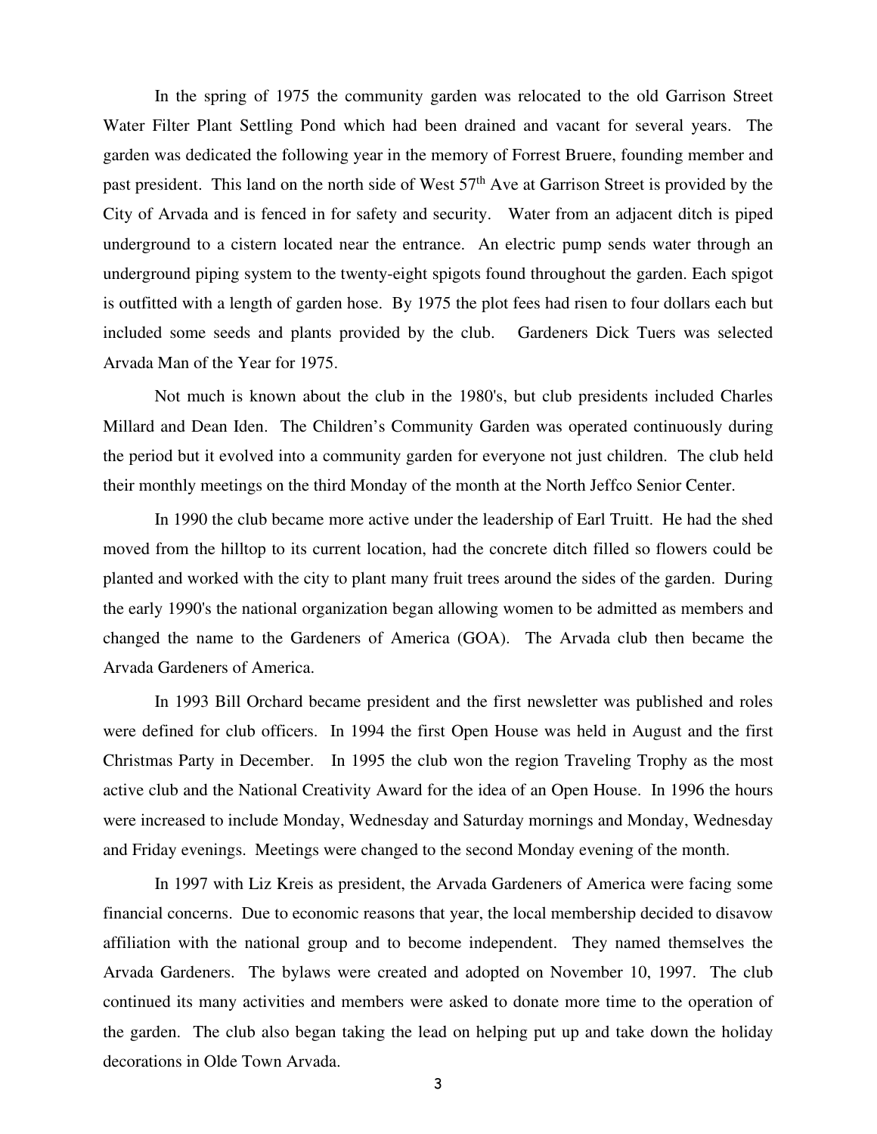In the spring of 1975 the community garden was relocated to the old Garrison Street Water Filter Plant Settling Pond which had been drained and vacant for several years. The garden was dedicated the following year in the memory of Forrest Bruere, founding member and past president. This land on the north side of West 57<sup>th</sup> Ave at Garrison Street is provided by the City of Arvada and is fenced in for safety and security. Water from an adjacent ditch is piped underground to a cistern located near the entrance. An electric pump sends water through an underground piping system to the twenty-eight spigots found throughout the garden. Each spigot is outfitted with a length of garden hose. By 1975 the plot fees had risen to four dollars each but included some seeds and plants provided by the club. Gardeners Dick Tuers was selected Arvada Man of the Year for 1975.

Not much is known about the club in the 1980's, but club presidents included Charles Millard and Dean Iden. The Children's Community Garden was operated continuously during the period but it evolved into a community garden for everyone not just children. The club held their monthly meetings on the third Monday of the month at the North Jeffco Senior Center.

In 1990 the club became more active under the leadership of Earl Truitt. He had the shed moved from the hilltop to its current location, had the concrete ditch filled so flowers could be planted and worked with the city to plant many fruit trees around the sides of the garden. During the early 1990's the national organization began allowing women to be admitted as members and changed the name to the Gardeners of America (GOA). The Arvada club then became the Arvada Gardeners of America.

In 1993 Bill Orchard became president and the first newsletter was published and roles were defined for club officers. In 1994 the first Open House was held in August and the first Christmas Party in December. In 1995 the club won the region Traveling Trophy as the most active club and the National Creativity Award for the idea of an Open House. In 1996 the hours were increased to include Monday, Wednesday and Saturday mornings and Monday, Wednesday and Friday evenings. Meetings were changed to the second Monday evening of the month.

In 1997 with Liz Kreis as president, the Arvada Gardeners of America were facing some financial concerns. Due to economic reasons that year, the local membership decided to disavow affiliation with the national group and to become independent. They named themselves the Arvada Gardeners. The bylaws were created and adopted on November 10, 1997. The club continued its many activities and members were asked to donate more time to the operation of the garden. The club also began taking the lead on helping put up and take down the holiday decorations in Olde Town Arvada.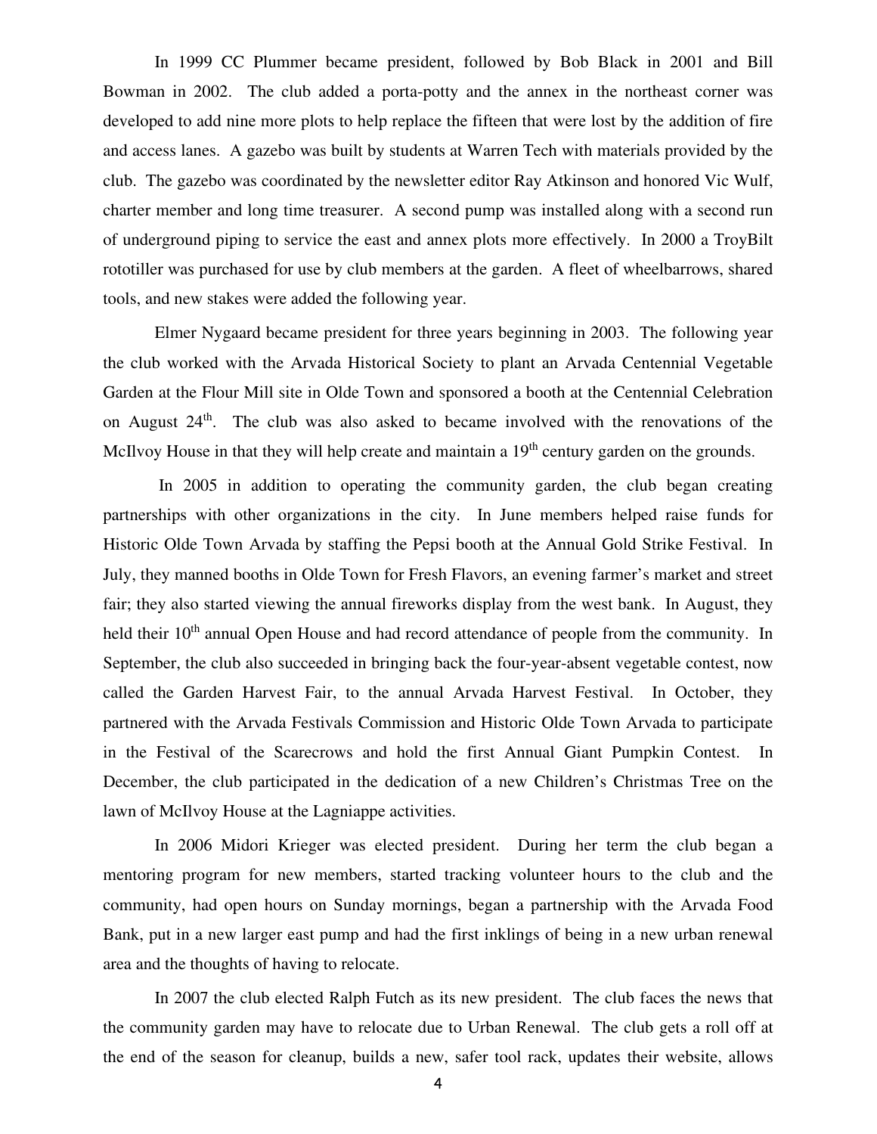In 1999 CC Plummer became president, followed by Bob Black in 2001 and Bill Bowman in 2002. The club added a porta-potty and the annex in the northeast corner was developed to add nine more plots to help replace the fifteen that were lost by the addition of fire and access lanes. A gazebo was built by students at Warren Tech with materials provided by the club. The gazebo was coordinated by the newsletter editor Ray Atkinson and honored Vic Wulf, charter member and long time treasurer. A second pump was installed along with a second run of underground piping to service the east and annex plots more effectively. In 2000 a TroyBilt rototiller was purchased for use by club members at the garden. A fleet of wheelbarrows, shared tools, and new stakes were added the following year.

Elmer Nygaard became president for three years beginning in 2003. The following year the club worked with the Arvada Historical Society to plant an Arvada Centennial Vegetable Garden at the Flour Mill site in Olde Town and sponsored a booth at the Centennial Celebration on August 24<sup>th</sup>. The club was also asked to became involved with the renovations of the McIlvoy House in that they will help create and maintain a 19<sup>th</sup> century garden on the grounds.

 In 2005 in addition to operating the community garden, the club began creating partnerships with other organizations in the city. In June members helped raise funds for Historic Olde Town Arvada by staffing the Pepsi booth at the Annual Gold Strike Festival. In July, they manned booths in Olde Town for Fresh Flavors, an evening farmer's market and street fair; they also started viewing the annual fireworks display from the west bank. In August, they held their 10<sup>th</sup> annual Open House and had record attendance of people from the community. In September, the club also succeeded in bringing back the four-year-absent vegetable contest, now called the Garden Harvest Fair, to the annual Arvada Harvest Festival. In October, they partnered with the Arvada Festivals Commission and Historic Olde Town Arvada to participate in the Festival of the Scarecrows and hold the first Annual Giant Pumpkin Contest. In December, the club participated in the dedication of a new Children's Christmas Tree on the lawn of McIlvoy House at the Lagniappe activities.

In 2006 Midori Krieger was elected president. During her term the club began a mentoring program for new members, started tracking volunteer hours to the club and the community, had open hours on Sunday mornings, began a partnership with the Arvada Food Bank, put in a new larger east pump and had the first inklings of being in a new urban renewal area and the thoughts of having to relocate.

In 2007 the club elected Ralph Futch as its new president. The club faces the news that the community garden may have to relocate due to Urban Renewal. The club gets a roll off at the end of the season for cleanup, builds a new, safer tool rack, updates their website, allows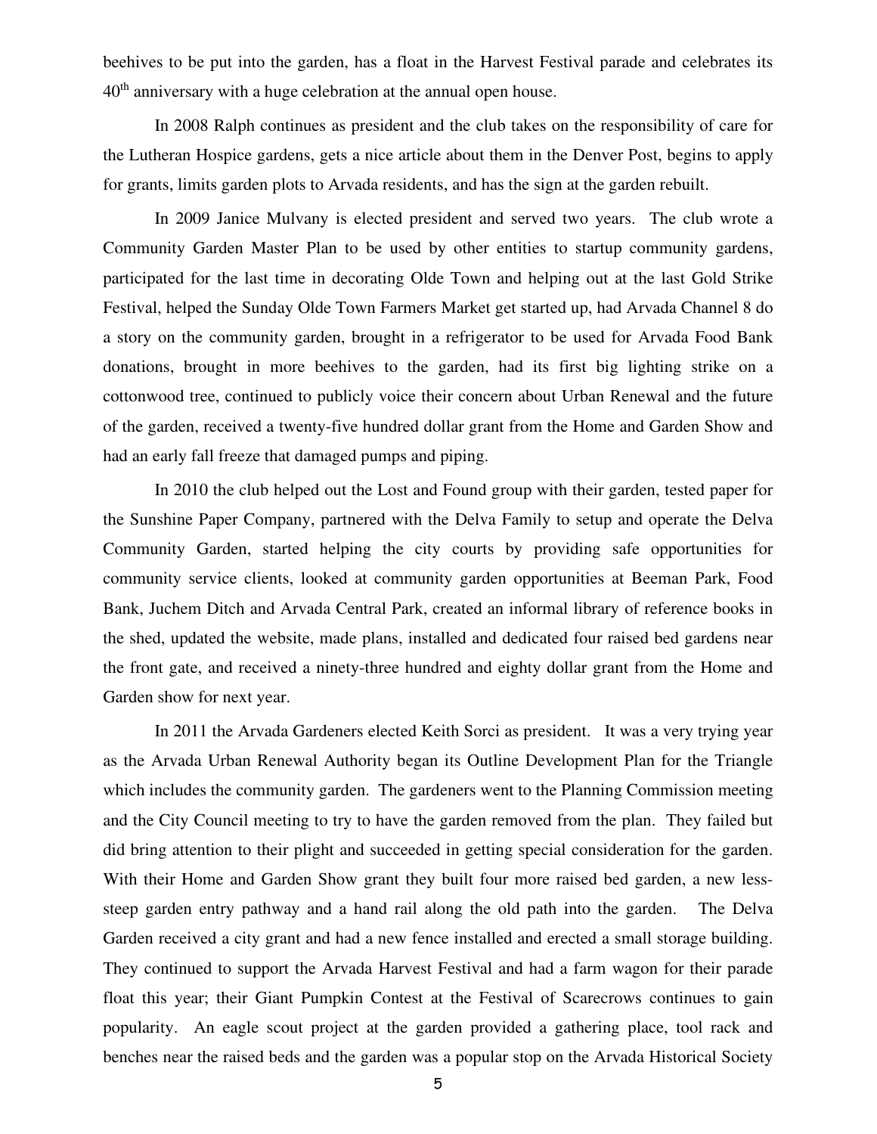beehives to be put into the garden, has a float in the Harvest Festival parade and celebrates its 40<sup>th</sup> anniversary with a huge celebration at the annual open house.

In 2008 Ralph continues as president and the club takes on the responsibility of care for the Lutheran Hospice gardens, gets a nice article about them in the Denver Post, begins to apply for grants, limits garden plots to Arvada residents, and has the sign at the garden rebuilt.

In 2009 Janice Mulvany is elected president and served two years. The club wrote a Community Garden Master Plan to be used by other entities to startup community gardens, participated for the last time in decorating Olde Town and helping out at the last Gold Strike Festival, helped the Sunday Olde Town Farmers Market get started up, had Arvada Channel 8 do a story on the community garden, brought in a refrigerator to be used for Arvada Food Bank donations, brought in more beehives to the garden, had its first big lighting strike on a cottonwood tree, continued to publicly voice their concern about Urban Renewal and the future of the garden, received a twenty-five hundred dollar grant from the Home and Garden Show and had an early fall freeze that damaged pumps and piping.

In 2010 the club helped out the Lost and Found group with their garden, tested paper for the Sunshine Paper Company, partnered with the Delva Family to setup and operate the Delva Community Garden, started helping the city courts by providing safe opportunities for community service clients, looked at community garden opportunities at Beeman Park, Food Bank, Juchem Ditch and Arvada Central Park, created an informal library of reference books in the shed, updated the website, made plans, installed and dedicated four raised bed gardens near the front gate, and received a ninety-three hundred and eighty dollar grant from the Home and Garden show for next year.

In 2011 the Arvada Gardeners elected Keith Sorci as president. It was a very trying year as the Arvada Urban Renewal Authority began its Outline Development Plan for the Triangle which includes the community garden. The gardeners went to the Planning Commission meeting and the City Council meeting to try to have the garden removed from the plan. They failed but did bring attention to their plight and succeeded in getting special consideration for the garden. With their Home and Garden Show grant they built four more raised bed garden, a new lesssteep garden entry pathway and a hand rail along the old path into the garden. The Delva Garden received a city grant and had a new fence installed and erected a small storage building. They continued to support the Arvada Harvest Festival and had a farm wagon for their parade float this year; their Giant Pumpkin Contest at the Festival of Scarecrows continues to gain popularity. An eagle scout project at the garden provided a gathering place, tool rack and benches near the raised beds and the garden was a popular stop on the Arvada Historical Society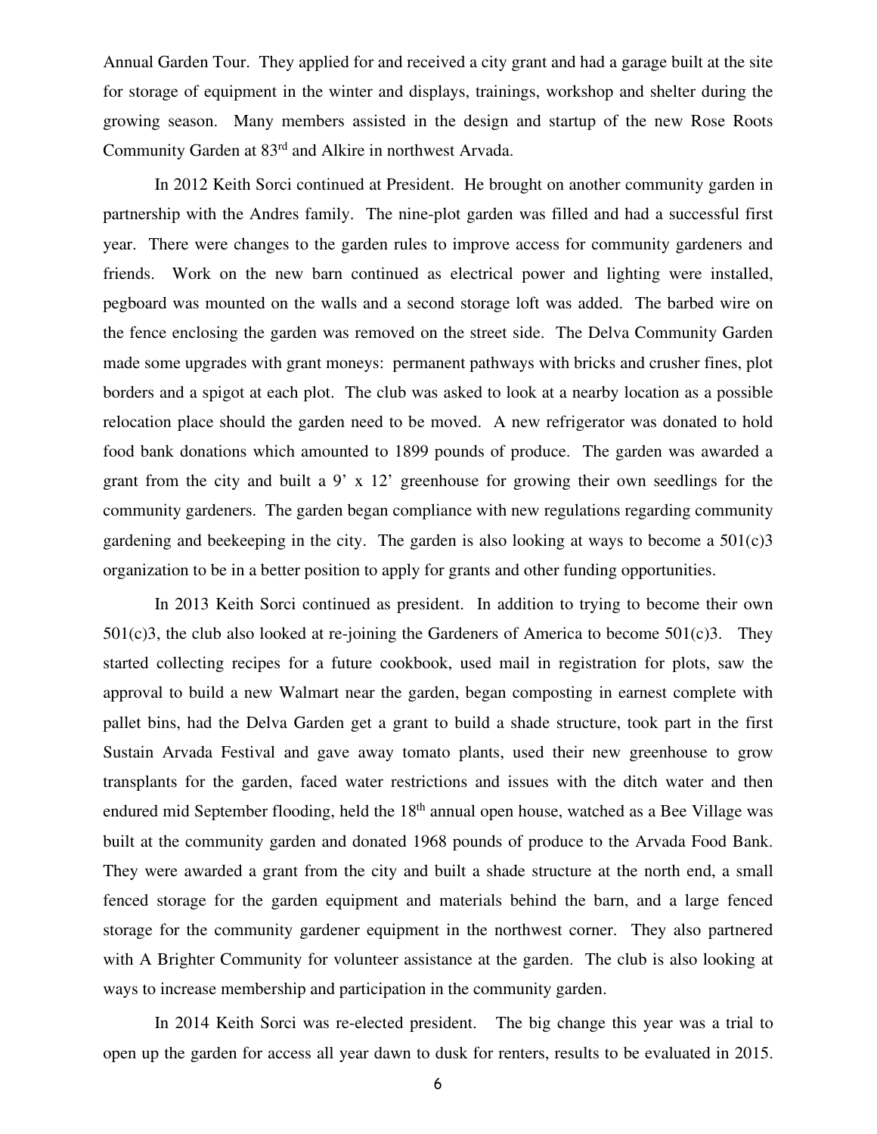Annual Garden Tour. They applied for and received a city grant and had a garage built at the site for storage of equipment in the winter and displays, trainings, workshop and shelter during the growing season. Many members assisted in the design and startup of the new Rose Roots Community Garden at 83rd and Alkire in northwest Arvada.

In 2012 Keith Sorci continued at President. He brought on another community garden in partnership with the Andres family. The nine-plot garden was filled and had a successful first year. There were changes to the garden rules to improve access for community gardeners and friends. Work on the new barn continued as electrical power and lighting were installed, pegboard was mounted on the walls and a second storage loft was added. The barbed wire on the fence enclosing the garden was removed on the street side. The Delva Community Garden made some upgrades with grant moneys: permanent pathways with bricks and crusher fines, plot borders and a spigot at each plot. The club was asked to look at a nearby location as a possible relocation place should the garden need to be moved. A new refrigerator was donated to hold food bank donations which amounted to 1899 pounds of produce. The garden was awarded a grant from the city and built a 9' x 12' greenhouse for growing their own seedlings for the community gardeners. The garden began compliance with new regulations regarding community gardening and beekeeping in the city. The garden is also looking at ways to become a  $501(c)3$ organization to be in a better position to apply for grants and other funding opportunities.

In 2013 Keith Sorci continued as president. In addition to trying to become their own  $501(c)3$ , the club also looked at re-joining the Gardeners of America to become  $501(c)3$ . They started collecting recipes for a future cookbook, used mail in registration for plots, saw the approval to build a new Walmart near the garden, began composting in earnest complete with pallet bins, had the Delva Garden get a grant to build a shade structure, took part in the first Sustain Arvada Festival and gave away tomato plants, used their new greenhouse to grow transplants for the garden, faced water restrictions and issues with the ditch water and then endured mid September flooding, held the  $18<sup>th</sup>$  annual open house, watched as a Bee Village was built at the community garden and donated 1968 pounds of produce to the Arvada Food Bank. They were awarded a grant from the city and built a shade structure at the north end, a small fenced storage for the garden equipment and materials behind the barn, and a large fenced storage for the community gardener equipment in the northwest corner. They also partnered with A Brighter Community for volunteer assistance at the garden. The club is also looking at ways to increase membership and participation in the community garden.

In 2014 Keith Sorci was re-elected president. The big change this year was a trial to open up the garden for access all year dawn to dusk for renters, results to be evaluated in 2015.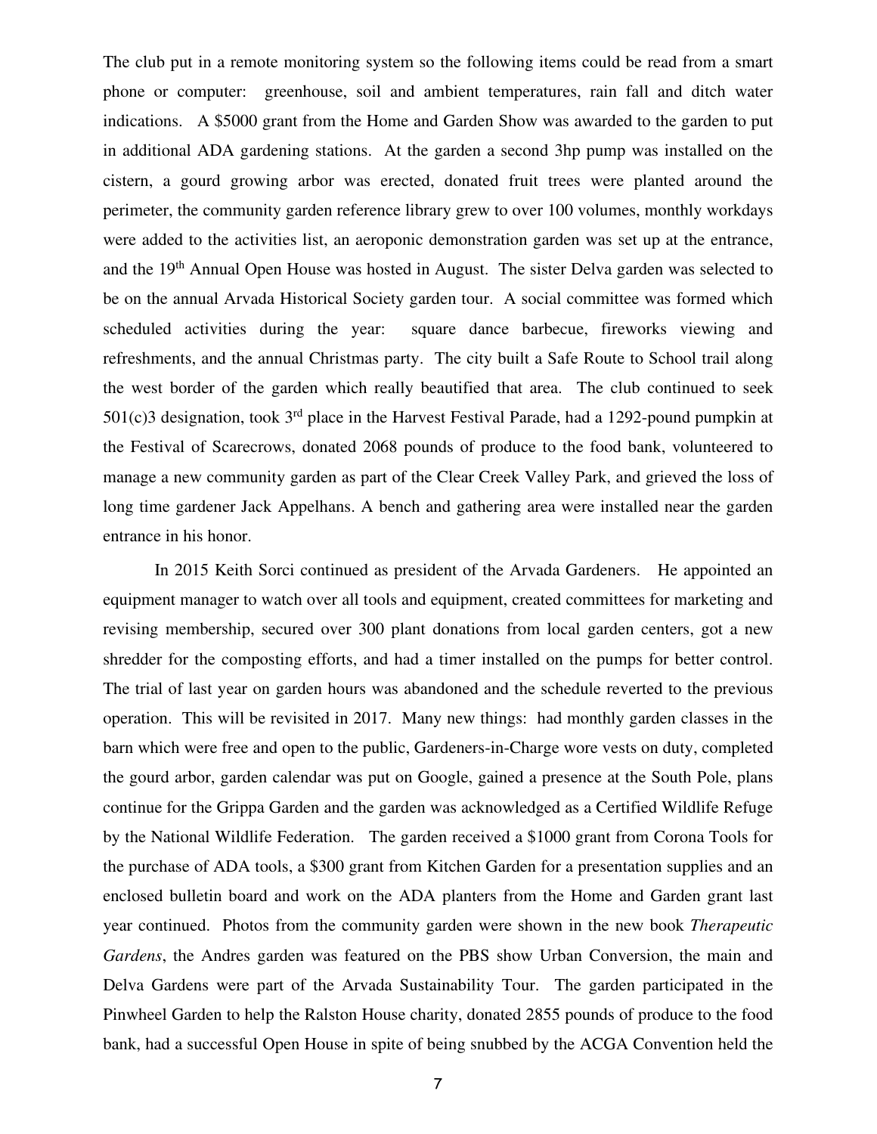The club put in a remote monitoring system so the following items could be read from a smart phone or computer: greenhouse, soil and ambient temperatures, rain fall and ditch water indications. A \$5000 grant from the Home and Garden Show was awarded to the garden to put in additional ADA gardening stations. At the garden a second 3hp pump was installed on the cistern, a gourd growing arbor was erected, donated fruit trees were planted around the perimeter, the community garden reference library grew to over 100 volumes, monthly workdays were added to the activities list, an aeroponic demonstration garden was set up at the entrance, and the 19<sup>th</sup> Annual Open House was hosted in August. The sister Delva garden was selected to be on the annual Arvada Historical Society garden tour. A social committee was formed which scheduled activities during the year: square dance barbecue, fireworks viewing and refreshments, and the annual Christmas party. The city built a Safe Route to School trail along the west border of the garden which really beautified that area. The club continued to seek  $501(c)$ 3 designation, took 3<sup>rd</sup> place in the Harvest Festival Parade, had a 1292-pound pumpkin at the Festival of Scarecrows, donated 2068 pounds of produce to the food bank, volunteered to manage a new community garden as part of the Clear Creek Valley Park, and grieved the loss of long time gardener Jack Appelhans. A bench and gathering area were installed near the garden entrance in his honor.

In 2015 Keith Sorci continued as president of the Arvada Gardeners. He appointed an equipment manager to watch over all tools and equipment, created committees for marketing and revising membership, secured over 300 plant donations from local garden centers, got a new shredder for the composting efforts, and had a timer installed on the pumps for better control. The trial of last year on garden hours was abandoned and the schedule reverted to the previous operation. This will be revisited in 2017. Many new things: had monthly garden classes in the barn which were free and open to the public, Gardeners-in-Charge wore vests on duty, completed the gourd arbor, garden calendar was put on Google, gained a presence at the South Pole, plans continue for the Grippa Garden and the garden was acknowledged as a Certified Wildlife Refuge by the National Wildlife Federation. The garden received a \$1000 grant from Corona Tools for the purchase of ADA tools, a \$300 grant from Kitchen Garden for a presentation supplies and an enclosed bulletin board and work on the ADA planters from the Home and Garden grant last year continued. Photos from the community garden were shown in the new book *Therapeutic Gardens*, the Andres garden was featured on the PBS show Urban Conversion, the main and Delva Gardens were part of the Arvada Sustainability Tour. The garden participated in the Pinwheel Garden to help the Ralston House charity, donated 2855 pounds of produce to the food bank, had a successful Open House in spite of being snubbed by the ACGA Convention held the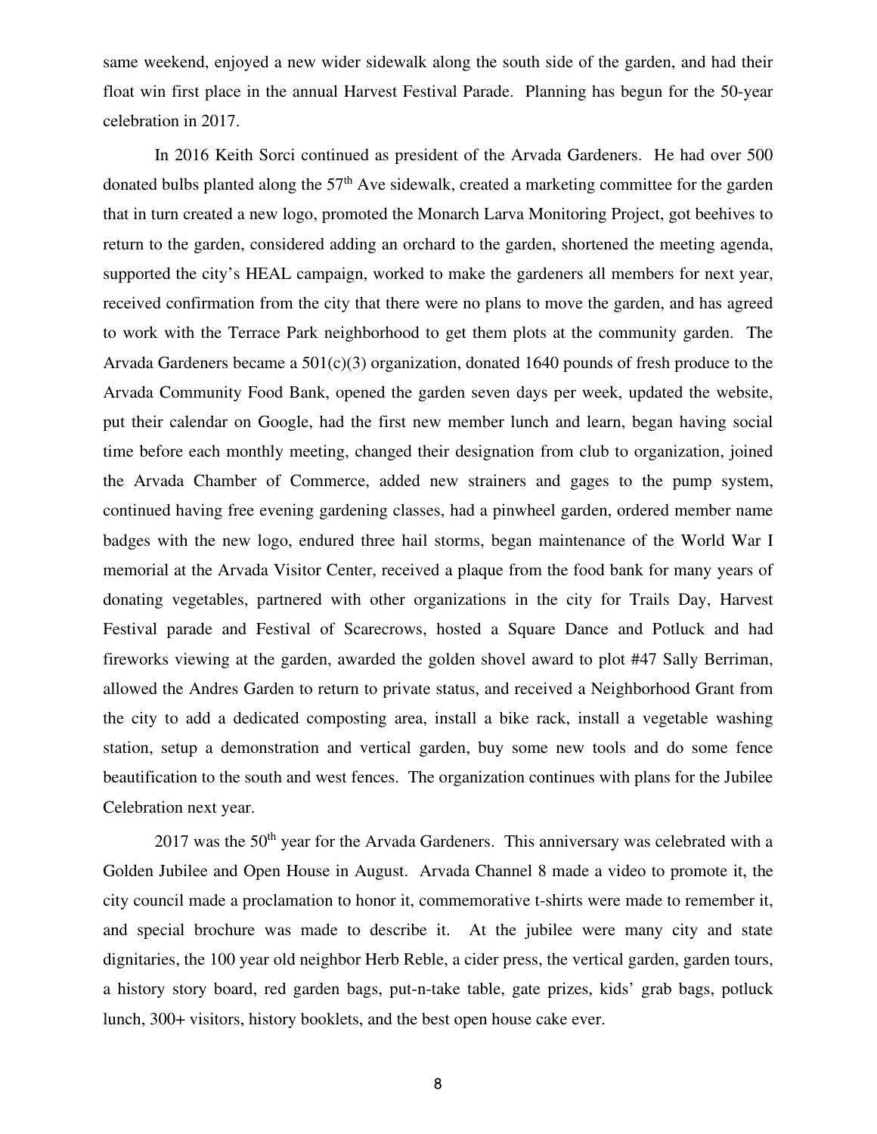same weekend, enjoyed a new wider sidewalk along the south side of the garden, and had their float win first place in the annual Harvest Festival Parade. Planning has begun for the 50-year celebration in 2017.

In 2016 Keith Sorci continued as president of the Arvada Gardeners. He had over 500 donated bulbs planted along the  $57<sup>th</sup>$  Ave sidewalk, created a marketing committee for the garden that in turn created a new logo, promoted the Monarch Larva Monitoring Project, got beehives to return to the garden, considered adding an orchard to the garden, shortened the meeting agenda, supported the city's HEAL campaign, worked to make the gardeners all members for next year, received confirmation from the city that there were no plans to move the garden, and has agreed to work with the Terrace Park neighborhood to get them plots at the community garden. The Arvada Gardeners became a  $501(c)(3)$  organization, donated 1640 pounds of fresh produce to the Arvada Community Food Bank, opened the garden seven days per week, updated the website, put their calendar on Google, had the first new member lunch and learn, began having social time before each monthly meeting, changed their designation from club to organization, joined the Arvada Chamber of Commerce, added new strainers and gages to the pump system, continued having free evening gardening classes, had a pinwheel garden, ordered member name badges with the new logo, endured three hail storms, began maintenance of the World War I memorial at the Arvada Visitor Center, received a plaque from the food bank for many years of donating vegetables, partnered with other organizations in the city for Trails Day, Harvest Festival parade and Festival of Scarecrows, hosted a Square Dance and Potluck and had fireworks viewing at the garden, awarded the golden shovel award to plot #47 Sally Berriman, allowed the Andres Garden to return to private status, and received a Neighborhood Grant from the city to add a dedicated composting area, install a bike rack, install a vegetable washing station, setup a demonstration and vertical garden, buy some new tools and do some fence beautification to the south and west fences. The organization continues with plans for the Jubilee Celebration next year.

 $2017$  was the  $50<sup>th</sup>$  year for the Arvada Gardeners. This anniversary was celebrated with a Golden Jubilee and Open House in August. Arvada Channel 8 made a video to promote it, the city council made a proclamation to honor it, commemorative t-shirts were made to remember it, and special brochure was made to describe it. At the jubilee were many city and state dignitaries, the 100 year old neighbor Herb Reble, a cider press, the vertical garden, garden tours, a history story board, red garden bags, put-n-take table, gate prizes, kids' grab bags, potluck lunch, 300+ visitors, history booklets, and the best open house cake ever.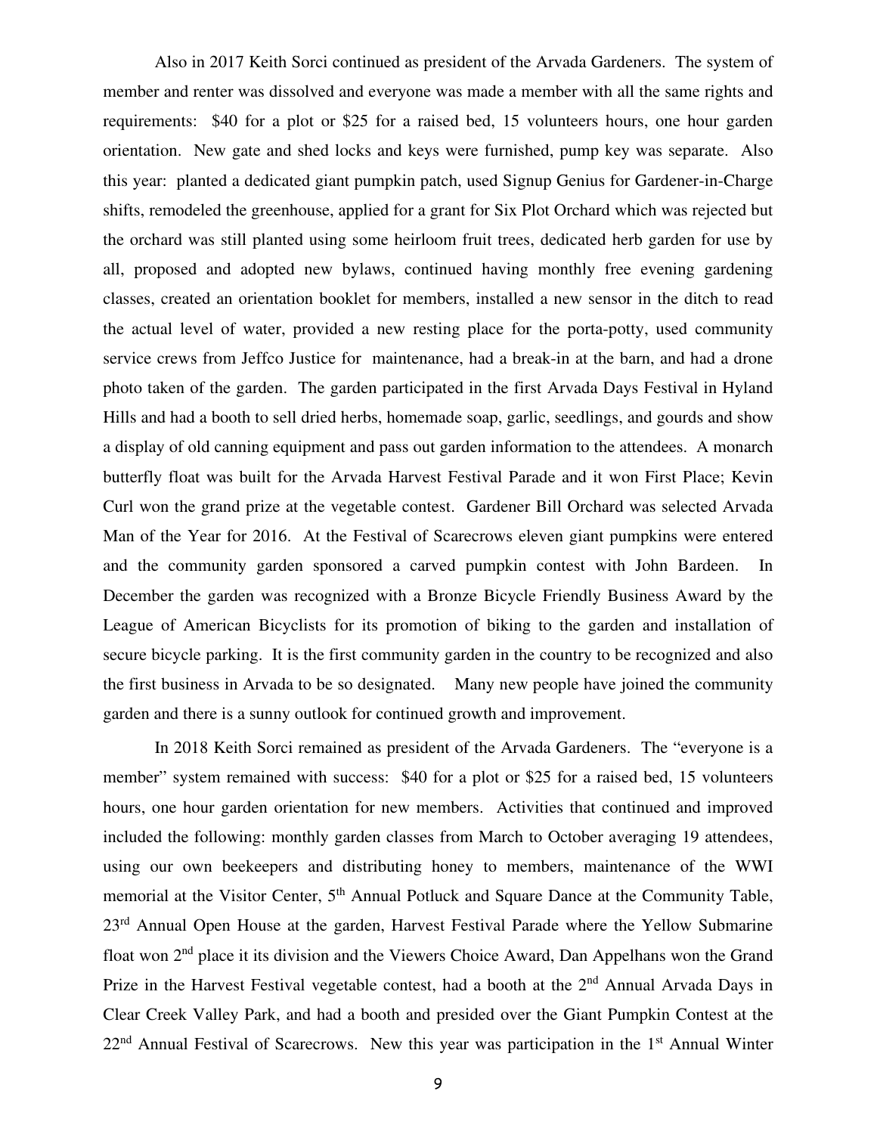Also in 2017 Keith Sorci continued as president of the Arvada Gardeners. The system of member and renter was dissolved and everyone was made a member with all the same rights and requirements: \$40 for a plot or \$25 for a raised bed, 15 volunteers hours, one hour garden orientation. New gate and shed locks and keys were furnished, pump key was separate. Also this year: planted a dedicated giant pumpkin patch, used Signup Genius for Gardener-in-Charge shifts, remodeled the greenhouse, applied for a grant for Six Plot Orchard which was rejected but the orchard was still planted using some heirloom fruit trees, dedicated herb garden for use by all, proposed and adopted new bylaws, continued having monthly free evening gardening classes, created an orientation booklet for members, installed a new sensor in the ditch to read the actual level of water, provided a new resting place for the porta-potty, used community service crews from Jeffco Justice for maintenance, had a break-in at the barn, and had a drone photo taken of the garden. The garden participated in the first Arvada Days Festival in Hyland Hills and had a booth to sell dried herbs, homemade soap, garlic, seedlings, and gourds and show a display of old canning equipment and pass out garden information to the attendees. A monarch butterfly float was built for the Arvada Harvest Festival Parade and it won First Place; Kevin Curl won the grand prize at the vegetable contest. Gardener Bill Orchard was selected Arvada Man of the Year for 2016. At the Festival of Scarecrows eleven giant pumpkins were entered and the community garden sponsored a carved pumpkin contest with John Bardeen. In December the garden was recognized with a Bronze Bicycle Friendly Business Award by the League of American Bicyclists for its promotion of biking to the garden and installation of secure bicycle parking. It is the first community garden in the country to be recognized and also the first business in Arvada to be so designated. Many new people have joined the community garden and there is a sunny outlook for continued growth and improvement.

In 2018 Keith Sorci remained as president of the Arvada Gardeners. The "everyone is a member" system remained with success: \$40 for a plot or \$25 for a raised bed, 15 volunteers hours, one hour garden orientation for new members. Activities that continued and improved included the following: monthly garden classes from March to October averaging 19 attendees, using our own beekeepers and distributing honey to members, maintenance of the WWI memorial at the Visitor Center, 5<sup>th</sup> Annual Potluck and Square Dance at the Community Table, 23<sup>rd</sup> Annual Open House at the garden, Harvest Festival Parade where the Yellow Submarine float won 2nd place it its division and the Viewers Choice Award, Dan Appelhans won the Grand Prize in the Harvest Festival vegetable contest, had a booth at the 2<sup>nd</sup> Annual Arvada Days in Clear Creek Valley Park, and had a booth and presided over the Giant Pumpkin Contest at the  $22<sup>nd</sup>$  Annual Festival of Scarecrows. New this year was participation in the 1<sup>st</sup> Annual Winter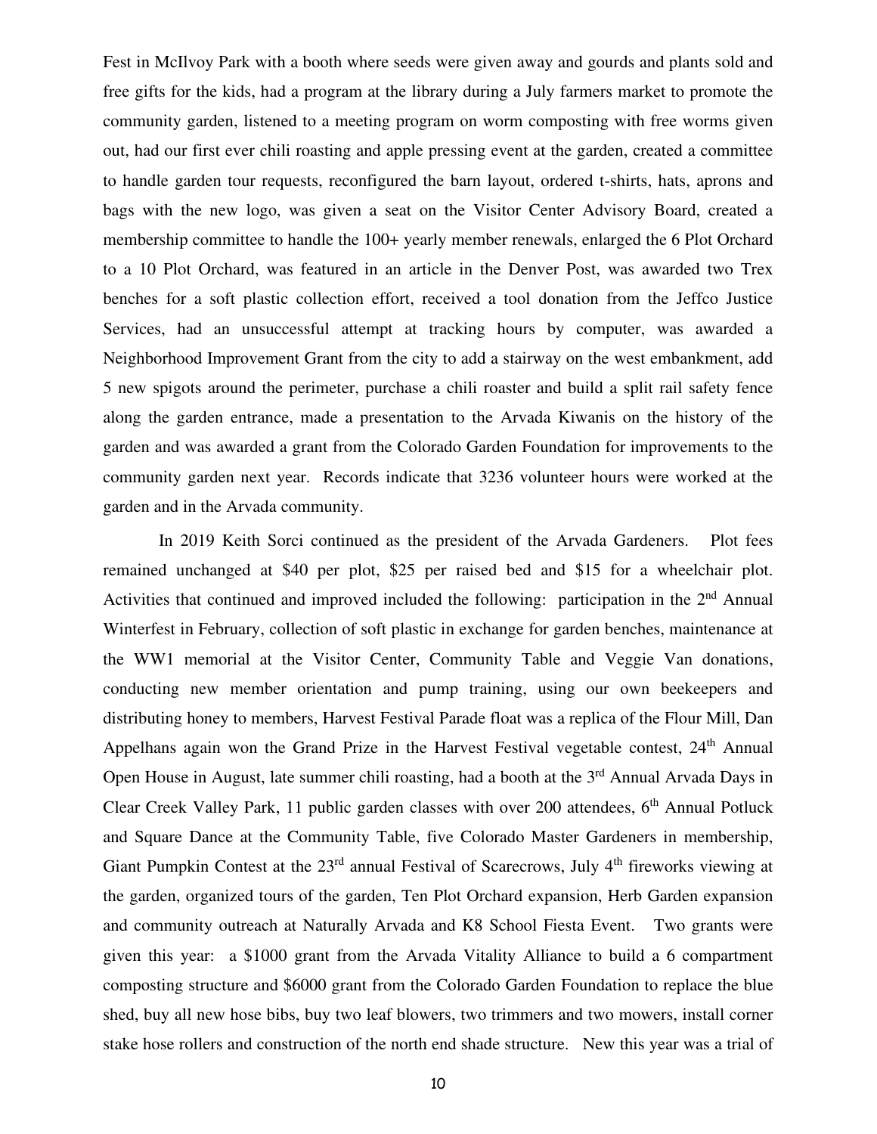Fest in McIlvoy Park with a booth where seeds were given away and gourds and plants sold and free gifts for the kids, had a program at the library during a July farmers market to promote the community garden, listened to a meeting program on worm composting with free worms given out, had our first ever chili roasting and apple pressing event at the garden, created a committee to handle garden tour requests, reconfigured the barn layout, ordered t-shirts, hats, aprons and bags with the new logo, was given a seat on the Visitor Center Advisory Board, created a membership committee to handle the 100+ yearly member renewals, enlarged the 6 Plot Orchard to a 10 Plot Orchard, was featured in an article in the Denver Post, was awarded two Trex benches for a soft plastic collection effort, received a tool donation from the Jeffco Justice Services, had an unsuccessful attempt at tracking hours by computer, was awarded a Neighborhood Improvement Grant from the city to add a stairway on the west embankment, add 5 new spigots around the perimeter, purchase a chili roaster and build a split rail safety fence along the garden entrance, made a presentation to the Arvada Kiwanis on the history of the garden and was awarded a grant from the Colorado Garden Foundation for improvements to the community garden next year. Records indicate that 3236 volunteer hours were worked at the garden and in the Arvada community.

 In 2019 Keith Sorci continued as the president of the Arvada Gardeners. Plot fees remained unchanged at \$40 per plot, \$25 per raised bed and \$15 for a wheelchair plot. Activities that continued and improved included the following: participation in the  $2<sup>nd</sup>$  Annual Winterfest in February, collection of soft plastic in exchange for garden benches, maintenance at the WW1 memorial at the Visitor Center, Community Table and Veggie Van donations, conducting new member orientation and pump training, using our own beekeepers and distributing honey to members, Harvest Festival Parade float was a replica of the Flour Mill, Dan Appelhans again won the Grand Prize in the Harvest Festival vegetable contest,  $24<sup>th</sup>$  Annual Open House in August, late summer chili roasting, had a booth at the 3<sup>rd</sup> Annual Arvada Days in Clear Creek Valley Park, 11 public garden classes with over 200 attendees,  $6<sup>th</sup>$  Annual Potluck and Square Dance at the Community Table, five Colorado Master Gardeners in membership, Giant Pumpkin Contest at the 23<sup>rd</sup> annual Festival of Scarecrows, July 4<sup>th</sup> fireworks viewing at the garden, organized tours of the garden, Ten Plot Orchard expansion, Herb Garden expansion and community outreach at Naturally Arvada and K8 School Fiesta Event. Two grants were given this year: a \$1000 grant from the Arvada Vitality Alliance to build a 6 compartment composting structure and \$6000 grant from the Colorado Garden Foundation to replace the blue shed, buy all new hose bibs, buy two leaf blowers, two trimmers and two mowers, install corner stake hose rollers and construction of the north end shade structure. New this year was a trial of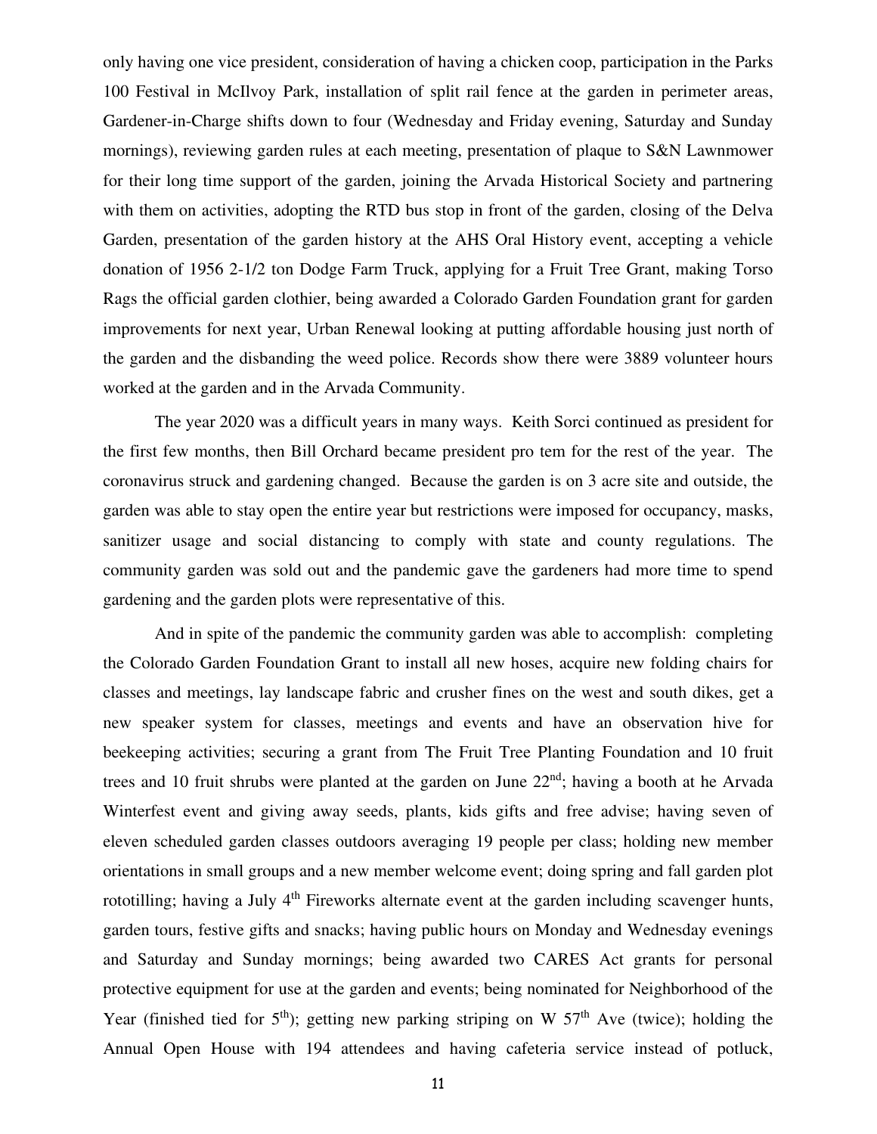only having one vice president, consideration of having a chicken coop, participation in the Parks 100 Festival in McIlvoy Park, installation of split rail fence at the garden in perimeter areas, Gardener-in-Charge shifts down to four (Wednesday and Friday evening, Saturday and Sunday mornings), reviewing garden rules at each meeting, presentation of plaque to S&N Lawnmower for their long time support of the garden, joining the Arvada Historical Society and partnering with them on activities, adopting the RTD bus stop in front of the garden, closing of the Delva Garden, presentation of the garden history at the AHS Oral History event, accepting a vehicle donation of 1956 2-1/2 ton Dodge Farm Truck, applying for a Fruit Tree Grant, making Torso Rags the official garden clothier, being awarded a Colorado Garden Foundation grant for garden improvements for next year, Urban Renewal looking at putting affordable housing just north of the garden and the disbanding the weed police. Records show there were 3889 volunteer hours worked at the garden and in the Arvada Community.

The year 2020 was a difficult years in many ways. Keith Sorci continued as president for the first few months, then Bill Orchard became president pro tem for the rest of the year. The coronavirus struck and gardening changed. Because the garden is on 3 acre site and outside, the garden was able to stay open the entire year but restrictions were imposed for occupancy, masks, sanitizer usage and social distancing to comply with state and county regulations. The community garden was sold out and the pandemic gave the gardeners had more time to spend gardening and the garden plots were representative of this.

And in spite of the pandemic the community garden was able to accomplish: completing the Colorado Garden Foundation Grant to install all new hoses, acquire new folding chairs for classes and meetings, lay landscape fabric and crusher fines on the west and south dikes, get a new speaker system for classes, meetings and events and have an observation hive for beekeeping activities; securing a grant from The Fruit Tree Planting Foundation and 10 fruit trees and 10 fruit shrubs were planted at the garden on June  $22<sup>nd</sup>$ ; having a booth at he Arvada Winterfest event and giving away seeds, plants, kids gifts and free advise; having seven of eleven scheduled garden classes outdoors averaging 19 people per class; holding new member orientations in small groups and a new member welcome event; doing spring and fall garden plot rototilling; having a July  $4<sup>th</sup>$  Fireworks alternate event at the garden including scavenger hunts, garden tours, festive gifts and snacks; having public hours on Monday and Wednesday evenings and Saturday and Sunday mornings; being awarded two CARES Act grants for personal protective equipment for use at the garden and events; being nominated for Neighborhood of the Year (finished tied for  $5<sup>th</sup>$ ); getting new parking striping on W  $57<sup>th</sup>$  Ave (twice); holding the Annual Open House with 194 attendees and having cafeteria service instead of potluck,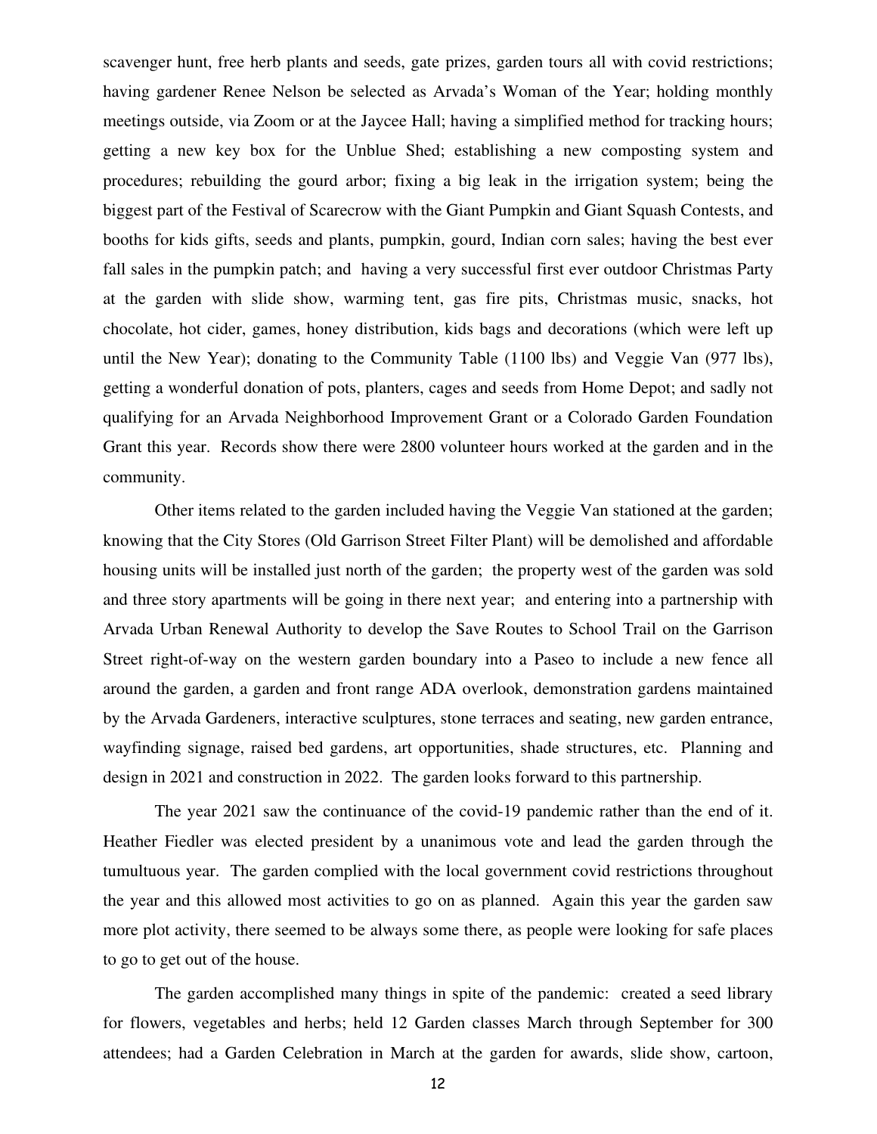scavenger hunt, free herb plants and seeds, gate prizes, garden tours all with covid restrictions; having gardener Renee Nelson be selected as Arvada's Woman of the Year; holding monthly meetings outside, via Zoom or at the Jaycee Hall; having a simplified method for tracking hours; getting a new key box for the Unblue Shed; establishing a new composting system and procedures; rebuilding the gourd arbor; fixing a big leak in the irrigation system; being the biggest part of the Festival of Scarecrow with the Giant Pumpkin and Giant Squash Contests, and booths for kids gifts, seeds and plants, pumpkin, gourd, Indian corn sales; having the best ever fall sales in the pumpkin patch; and having a very successful first ever outdoor Christmas Party at the garden with slide show, warming tent, gas fire pits, Christmas music, snacks, hot chocolate, hot cider, games, honey distribution, kids bags and decorations (which were left up until the New Year); donating to the Community Table (1100 lbs) and Veggie Van (977 lbs), getting a wonderful donation of pots, planters, cages and seeds from Home Depot; and sadly not qualifying for an Arvada Neighborhood Improvement Grant or a Colorado Garden Foundation Grant this year. Records show there were 2800 volunteer hours worked at the garden and in the community.

Other items related to the garden included having the Veggie Van stationed at the garden; knowing that the City Stores (Old Garrison Street Filter Plant) will be demolished and affordable housing units will be installed just north of the garden; the property west of the garden was sold and three story apartments will be going in there next year; and entering into a partnership with Arvada Urban Renewal Authority to develop the Save Routes to School Trail on the Garrison Street right-of-way on the western garden boundary into a Paseo to include a new fence all around the garden, a garden and front range ADA overlook, demonstration gardens maintained by the Arvada Gardeners, interactive sculptures, stone terraces and seating, new garden entrance, wayfinding signage, raised bed gardens, art opportunities, shade structures, etc. Planning and design in 2021 and construction in 2022. The garden looks forward to this partnership.

The year 2021 saw the continuance of the covid-19 pandemic rather than the end of it. Heather Fiedler was elected president by a unanimous vote and lead the garden through the tumultuous year. The garden complied with the local government covid restrictions throughout the year and this allowed most activities to go on as planned. Again this year the garden saw more plot activity, there seemed to be always some there, as people were looking for safe places to go to get out of the house.

The garden accomplished many things in spite of the pandemic: created a seed library for flowers, vegetables and herbs; held 12 Garden classes March through September for 300 attendees; had a Garden Celebration in March at the garden for awards, slide show, cartoon,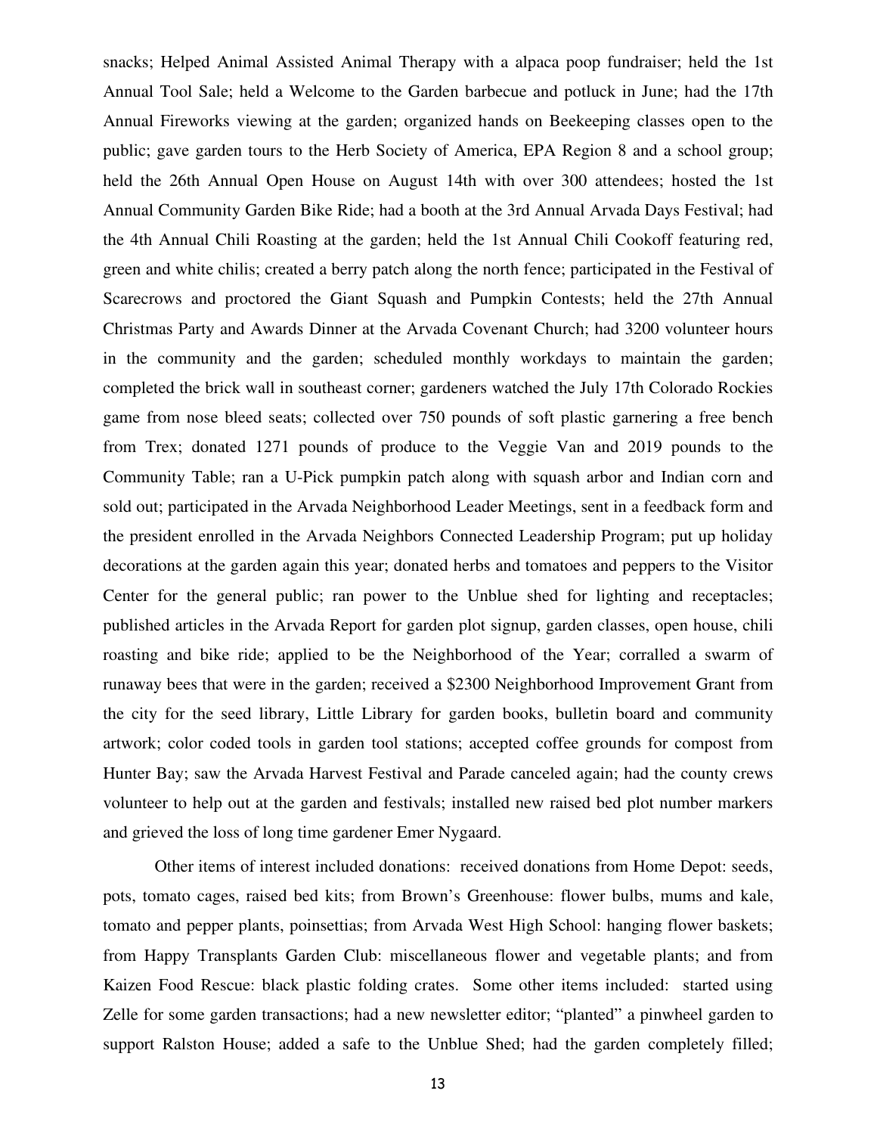snacks; Helped Animal Assisted Animal Therapy with a alpaca poop fundraiser; held the 1st Annual Tool Sale; held a Welcome to the Garden barbecue and potluck in June; had the 17th Annual Fireworks viewing at the garden; organized hands on Beekeeping classes open to the public; gave garden tours to the Herb Society of America, EPA Region 8 and a school group; held the 26th Annual Open House on August 14th with over 300 attendees; hosted the 1st Annual Community Garden Bike Ride; had a booth at the 3rd Annual Arvada Days Festival; had the 4th Annual Chili Roasting at the garden; held the 1st Annual Chili Cookoff featuring red, green and white chilis; created a berry patch along the north fence; participated in the Festival of Scarecrows and proctored the Giant Squash and Pumpkin Contests; held the 27th Annual Christmas Party and Awards Dinner at the Arvada Covenant Church; had 3200 volunteer hours in the community and the garden; scheduled monthly workdays to maintain the garden; completed the brick wall in southeast corner; gardeners watched the July 17th Colorado Rockies game from nose bleed seats; collected over 750 pounds of soft plastic garnering a free bench from Trex; donated 1271 pounds of produce to the Veggie Van and 2019 pounds to the Community Table; ran a U-Pick pumpkin patch along with squash arbor and Indian corn and sold out; participated in the Arvada Neighborhood Leader Meetings, sent in a feedback form and the president enrolled in the Arvada Neighbors Connected Leadership Program; put up holiday decorations at the garden again this year; donated herbs and tomatoes and peppers to the Visitor Center for the general public; ran power to the Unblue shed for lighting and receptacles; published articles in the Arvada Report for garden plot signup, garden classes, open house, chili roasting and bike ride; applied to be the Neighborhood of the Year; corralled a swarm of runaway bees that were in the garden; received a \$2300 Neighborhood Improvement Grant from the city for the seed library, Little Library for garden books, bulletin board and community artwork; color coded tools in garden tool stations; accepted coffee grounds for compost from Hunter Bay; saw the Arvada Harvest Festival and Parade canceled again; had the county crews volunteer to help out at the garden and festivals; installed new raised bed plot number markers and grieved the loss of long time gardener Emer Nygaard.

Other items of interest included donations: received donations from Home Depot: seeds, pots, tomato cages, raised bed kits; from Brown's Greenhouse: flower bulbs, mums and kale, tomato and pepper plants, poinsettias; from Arvada West High School: hanging flower baskets; from Happy Transplants Garden Club: miscellaneous flower and vegetable plants; and from Kaizen Food Rescue: black plastic folding crates. Some other items included: started using Zelle for some garden transactions; had a new newsletter editor; "planted" a pinwheel garden to support Ralston House; added a safe to the Unblue Shed; had the garden completely filled;